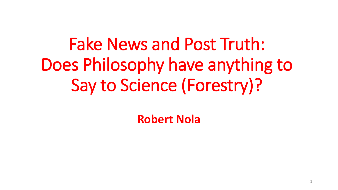Fake News and Post Truth: Does Philosophy have anything to Say to Science (Forestry)?

**Robert Nola**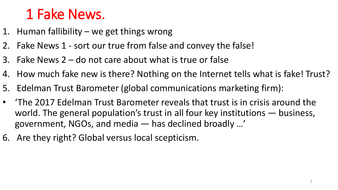## 1 Fake News.

- 1. Human fallibility we get things wrong
- 2. Fake News 1 sort our true from false and convey the false!
- 3. Fake News 2 do not care about what is true or false
- 4. How much fake new is there? Nothing on the Internet tells what is fake! Trust?
- 5. Edelman Trust Barometer (global communications marketing firm):
- 'The 2017 Edelman Trust Barometer reveals that trust is in crisis around the world. The general population's trust in all four key institutions — business, government, NGOs, and media — has declined broadly …'
- 6. Are they right? Global versus local scepticism.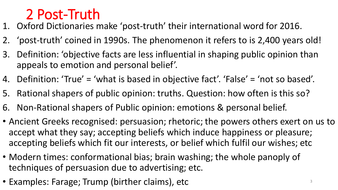#### 2 Post-Truth

- 1. Oxford Dictionaries make 'post-truth' their international word for 2016.
- 2. 'post-truth' coined in 1990s. The phenomenon it refers to is 2,400 years old!
- 3. Definition: 'objective facts are less influential in shaping public opinion than appeals to emotion and personal belief'.
- 4. Definition: 'True' = 'what is based in objective fact'. 'False' = 'not so based'.
- 5. Rational shapers of public opinion: truths. Question: how often is this so?
- 6. Non-Rational shapers of Public opinion: emotions & personal belief.
- Ancient Greeks recognised: persuasion; rhetoric; the powers others exert on us to accept what they say; accepting beliefs which induce happiness or pleasure; accepting beliefs which fit our interests, or belief which fulfil our wishes; etc
- Modern times: conformational bias; brain washing; the whole panoply of techniques of persuasion due to advertising; etc.
- Examples: Farage; Trump (birther claims), etc <sup>3</sup>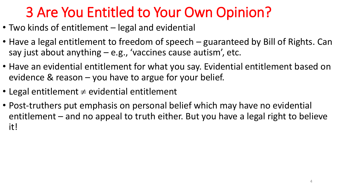# 3 Are You Entitled to Your Own Opinion?

- Two kinds of entitlement legal and evidential
- Have a legal entitlement to freedom of speech guaranteed by Bill of Rights. Can say just about anything – e.g., 'vaccines cause autism', etc.
- Have an evidential entitlement for what you say. Evidential entitlement based on evidence & reason – you have to argue for your belief.
- Legal entitlement  $\neq$  evidential entitlement
- Post-truthers put emphasis on personal belief which may have no evidential entitlement – and no appeal to truth either. But you have a legal right to believe it!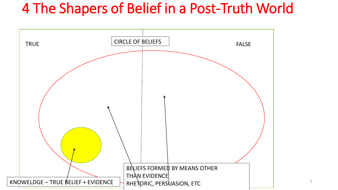### 4 The Shapers of Belief in a Post-Truth World

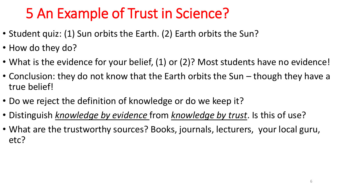# 5 An Example of Trust in Science?

- Student quiz: (1) Sun orbits the Earth. (2) Earth orbits the Sun?
- How do they do?
- What is the evidence for your belief, (1) or (2)? Most students have no evidence!
- Conclusion: they do not know that the Earth orbits the Sun though they have a true belief!
- Do we reject the definition of knowledge or do we keep it?
- Distinguish *knowledge by evidence* from *knowledge by trust*. Is this of use?
- What are the trustworthy sources? Books, journals, lecturers, your local guru, etc?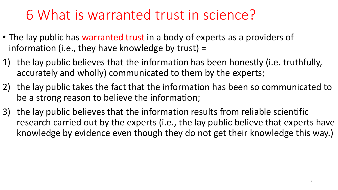### 6 What is warranted trust in science?

- The lay public has warranted trust in a body of experts as a providers of information (i.e., they have knowledge by trust) =
- 1) the lay public believes that the information has been honestly (i.e. truthfully, accurately and wholly) communicated to them by the experts;
- 2) the lay public takes the fact that the information has been so communicated to be a strong reason to believe the information;
- 3) the lay public believes that the information results from reliable scientific research carried out by the experts (i.e., the lay public believe that experts have knowledge by evidence even though they do not get their knowledge this way.)